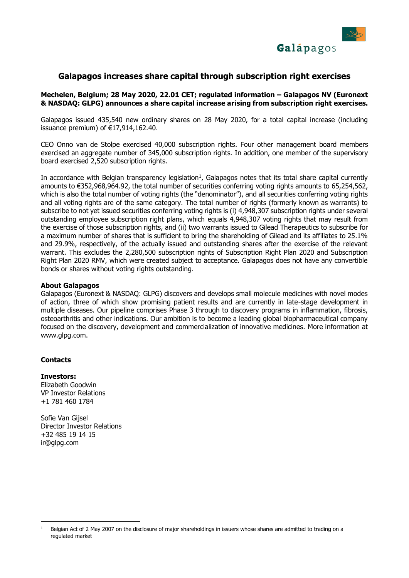

## **Galapagos increases share capital through subscription right exercises**

#### **Mechelen, Belgium; 28 May 2020, 22.01 CET; regulated information – Galapagos NV (Euronext & NASDAQ: GLPG) announces a share capital increase arising from subscription right exercises.**

Galapagos issued 435,540 new ordinary shares on 28 May 2020, for a total capital increase (including issuance premium) of €17,914,162.40.

CEO Onno van de Stolpe exercised 40,000 subscription rights. Four other management board members exercised an aggregate number of 345,000 subscription rights. In addition, one member of the supervisory board exercised 2,520 subscription rights.

In accordance with Belgian transparency legislation<sup>1</sup>, Galapagos notes that its total share capital currently amounts to €352,968,964.92, the total number of securities conferring voting rights amounts to 65,254,562, which is also the total number of voting rights (the "denominator"), and all securities conferring voting rights and all voting rights are of the same category. The total number of rights (formerly known as warrants) to subscribe to not yet issued securities conferring voting rights is (i) 4,948,307 subscription rights under several outstanding employee subscription right plans, which equals 4,948,307 voting rights that may result from the exercise of those subscription rights, and (ii) two warrants issued to Gilead Therapeutics to subscribe for a maximum number of shares that is sufficient to bring the shareholding of Gilead and its affiliates to 25.1% and 29.9%, respectively, of the actually issued and outstanding shares after the exercise of the relevant warrant. This excludes the 2.280.500 subscription rights of Subscription Right Plan 2020 and Subscription Right Plan 2020 RMV, which were created subject to acceptance. Galapagos does not have any convertible bonds or shares without voting rights outstanding.

#### **About Galapagos**

Galapagos (Euronext & NASDAQ: GLPG) discovers and develops small molecule medicines with novel modes of action, three of which show promising patient results and are currently in late-stage development in multiple diseases. Our pipeline comprises Phase 3 through to discovery programs in inflammation, fibrosis, osteoarthritis and other indications. Our ambition is to become a leading global biopharmaceutical company focused on the discovery, development and commercialization of innovative medicines. More information at www.glpg.com.

### **Contacts**

# **Investors:** Elizabeth Goodwin

VP Investor Relations +1 781 460 1784

Sofie Van Gijsel Director Investor Relations +32 485 19 14 15 ir@glpg.com

 $\overline{1}$ <sup>1</sup> Belgian Act of 2 May 2007 on the disclosure of major shareholdings in issuers whose shares are admitted to trading on a regulated market